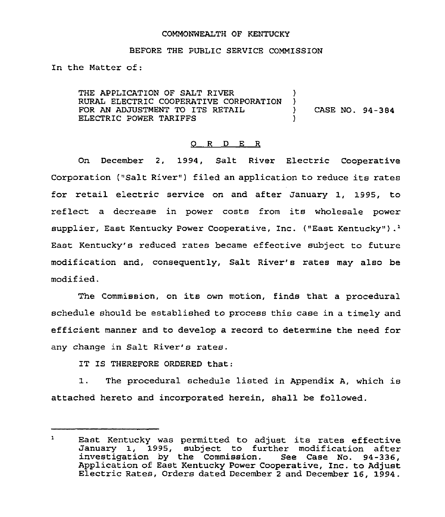#### COMMONWEALTH OF KENTUCKY

#### BEFORE THE PUBLIC SERVICE COMMISSION

In the Matter of:

THE APPLICATION OF SALT RIVER  $)$ <br>RURAL ELECTRIC COOPERATIVE CORPORATION ) RURAL ELECTRIC COOPERATIVE CORPORATION )<br>FOR AN ADJUSTMENT TO ITS RETAIL ) FOR AN ADJUSTMENT TO ITS RETAIL  $(1, 94-384)$ ELECTRIC POWER TARIFFS

### 0 <sup>R</sup> <sup>D</sup> E <sup>R</sup>

On December 2, 1994, Salt River Electric Cooperative Corporation ("Salt River") filed an application to reduce its rates for retail electric service on and after January 1, 1995, to reflect <sup>a</sup> decrease in power costs from its wholesale power supplier, East Kentucky Power Cooperative, Inc. ("East Kentucky").<sup>1</sup> East Kentucky's reduced rates became effective subject to future modification and, consequently, Salt River's rates may also be modif ied.

The Commission, on its own motion, finds that <sup>a</sup> procedural schedule should be established to process this case in a timely and efficient manner and to develop a record to determine the need for any change in Salt River's rates.

IT IS THEREFORE ORDERED that:

1. The procedural schedule listed in Appendix A, which is attached hereto and incorporated herein, shall be followed.

 $\mathbf{I}$ East Kentucky was permitted to adjust its rates effective January 1, 1995, subject to further modification after investigation by the Commission. See Case No. 94-336, Application of East Kentucky Power Cooperative, Inc. to Adjust Electric Rates, Orders dated December <sup>2</sup> and December 16, 1994.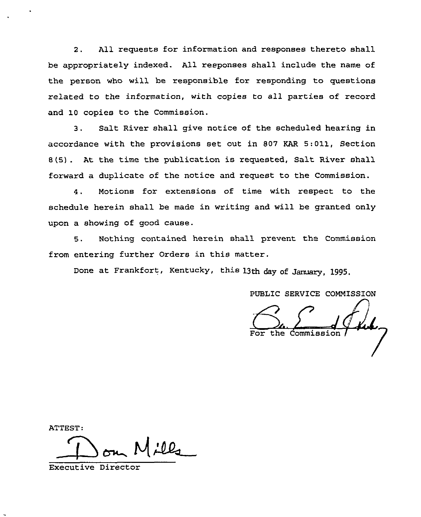2. All requests for information and responses thereto shall be appropriately indexed. All responses shall include the name of the person who will be responsible for responding to questions related to the information, with copies to all parties of record and 10 copies to the Commission.

Salt River shall give notice of the scheduled hearing in 3. accordance with the provisions set out in 807 KAR 5:011, Section 8(5) . At the time the publication is requested, Salt River shall forward a duplicate of the notice and request to the Commission.

4. Motions for extensions of time with respect to the schedule herein shall be made in writing and will be granted only upon a showing of good cause.

5. Nothing contained herein shall prevent the Commission from entering further Orders in this matter.

Done at Frankfort, Kentucky, this 13th day of January, 1995.

PUBLIC SERVICE COMMISSION

ATTEST:

 $\bigoplus_{\sigma}$  $1.12$ 

Executive Director